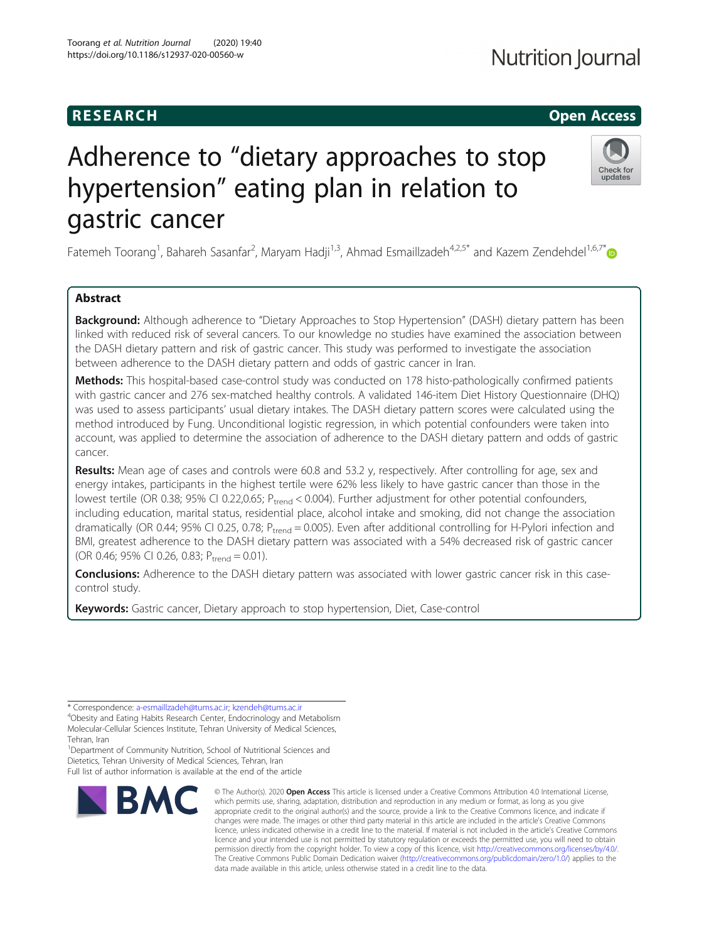# Adherence to "dietary approaches to stop hypertension" eating plan in relation to gastric cancer

Fatemeh Toorang<sup>1</sup>, Bahareh Sasanfar<sup>2</sup>, Maryam Hadji<sup>1,3</sup>, Ahmad Esmaillzadeh<sup>4,2,5\*</sup> and Kazem Zendehdel<sup>1,6,7\*</sup>

## Abstract

**Background:** Although adherence to "Dietary Approaches to Stop Hypertension" (DASH) dietary pattern has been linked with reduced risk of several cancers. To our knowledge no studies have examined the association between the DASH dietary pattern and risk of gastric cancer. This study was performed to investigate the association between adherence to the DASH dietary pattern and odds of gastric cancer in Iran.

Methods: This hospital-based case-control study was conducted on 178 histo-pathologically confirmed patients with gastric cancer and 276 sex-matched healthy controls. A validated 146-item Diet History Questionnaire (DHQ) was used to assess participants' usual dietary intakes. The DASH dietary pattern scores were calculated using the method introduced by Fung. Unconditional logistic regression, in which potential confounders were taken into account, was applied to determine the association of adherence to the DASH dietary pattern and odds of gastric cancer.

Results: Mean age of cases and controls were 60.8 and 53.2 y, respectively. After controlling for age, sex and energy intakes, participants in the highest tertile were 62% less likely to have gastric cancer than those in the lowest tertile (OR 0.38; 95% CI 0.22,0.65;  $P_{trend} < 0.004$ ). Further adjustment for other potential confounders, including education, marital status, residential place, alcohol intake and smoking, did not change the association dramatically (OR 0.44; 95% CI 0.25, 0.78; P<sub>trend</sub> = 0.005). Even after additional controlling for H-Pylori infection and BMI, greatest adherence to the DASH dietary pattern was associated with a 54% decreased risk of gastric cancer  $(OR 0.46; 95\% CI 0.26, 0.83; P<sub>trend</sub> = 0.01).$ 

**Conclusions:** Adherence to the DASH dietary pattern was associated with lower gastric cancer risk in this casecontrol study.

Keywords: Gastric cancer, Dietary approach to stop hypertension, Diet, Case-control

Full list of author information is available at the end of the article



<sup>©</sup> The Author(s), 2020 **Open Access** This article is licensed under a Creative Commons Attribution 4.0 International License, which permits use, sharing, adaptation, distribution and reproduction in any medium or format, as long as you give appropriate credit to the original author(s) and the source, provide a link to the Creative Commons licence, and indicate if changes were made. The images or other third party material in this article are included in the article's Creative Commons licence, unless indicated otherwise in a credit line to the material. If material is not included in the article's Creative Commons licence and your intended use is not permitted by statutory regulation or exceeds the permitted use, you will need to obtain permission directly from the copyright holder. To view a copy of this licence, visit [http://creativecommons.org/licenses/by/4.0/.](http://creativecommons.org/licenses/by/4.0/) The Creative Commons Public Domain Dedication waiver [\(http://creativecommons.org/publicdomain/zero/1.0/](http://creativecommons.org/publicdomain/zero/1.0/)) applies to the data made available in this article, unless otherwise stated in a credit line to the data.



# **RESEARCH CHILD CONTROL** CONTROL CONTROL CONTROL CONTROL CONTROL CONTROL CONTROL CONTROL CONTROL CONTROL CONTROL CONTROL CONTROL CONTROL CONTROL CONTROL CONTROL CONTROL CONTROL CONTROL CONTROL CONTROL CONTROL CONTROL CONTR

<sup>\*</sup> Correspondence: [a-esmaillzadeh@tums.ac.ir;](mailto:a-esmaillzadeh@tums.ac.ir) [kzendeh@tums.ac.ir](mailto:kzendeh@tums.ac.ir) <sup>4</sup>

<sup>&</sup>lt;sup>4</sup>Obesity and Eating Habits Research Center, Endocrinology and Metabolism Molecular-Cellular Sciences Institute, Tehran University of Medical Sciences, Tehran, Iran

<sup>&</sup>lt;sup>1</sup>Department of Community Nutrition, School of Nutritional Sciences and Dietetics, Tehran University of Medical Sciences, Tehran, Iran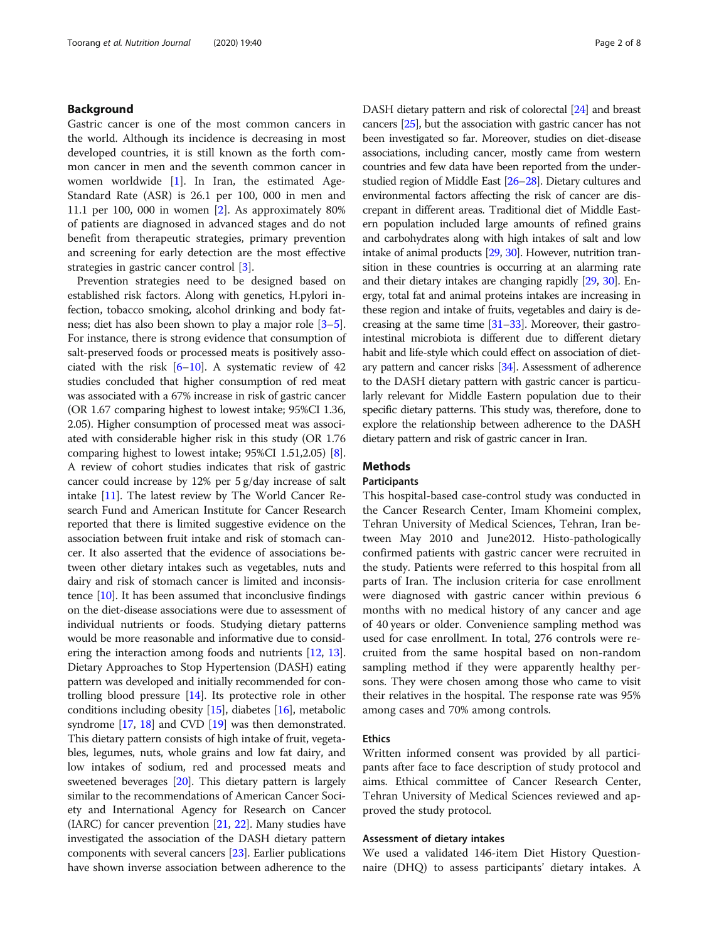#### Background

Gastric cancer is one of the most common cancers in the world. Although its incidence is decreasing in most developed countries, it is still known as the forth common cancer in men and the seventh common cancer in women worldwide [\[1](#page-6-0)]. In Iran, the estimated Age-Standard Rate (ASR) is 26.1 per 100, 000 in men and 11.1 per 100, 000 in women [\[2\]](#page-6-0). As approximately 80% of patients are diagnosed in advanced stages and do not benefit from therapeutic strategies, primary prevention and screening for early detection are the most effective strategies in gastric cancer control [\[3](#page-6-0)].

Prevention strategies need to be designed based on established risk factors. Along with genetics, H.pylori infection, tobacco smoking, alcohol drinking and body fatness; diet has also been shown to play a major role [[3](#page-6-0)–[5](#page-6-0)]. For instance, there is strong evidence that consumption of salt-preserved foods or processed meats is positively associated with the risk  $[6–10]$  $[6–10]$  $[6–10]$ . A systematic review of 42 studies concluded that higher consumption of red meat was associated with a 67% increase in risk of gastric cancer (OR 1.67 comparing highest to lowest intake; 95%CI 1.36, 2.05). Higher consumption of processed meat was associated with considerable higher risk in this study (OR 1.76 comparing highest to lowest intake; 95%CI 1.51,2.05) [[8](#page-6-0)]. A review of cohort studies indicates that risk of gastric cancer could increase by 12% per 5 g/day increase of salt intake [\[11\]](#page-6-0). The latest review by The World Cancer Research Fund and American Institute for Cancer Research reported that there is limited suggestive evidence on the association between fruit intake and risk of stomach cancer. It also asserted that the evidence of associations between other dietary intakes such as vegetables, nuts and dairy and risk of stomach cancer is limited and inconsistence  $[10]$ . It has been assumed that inconclusive findings on the diet-disease associations were due to assessment of individual nutrients or foods. Studying dietary patterns would be more reasonable and informative due to considering the interaction among foods and nutrients [\[12](#page-6-0), [13](#page-6-0)]. Dietary Approaches to Stop Hypertension (DASH) eating pattern was developed and initially recommended for controlling blood pressure [[14](#page-6-0)]. Its protective role in other conditions including obesity  $[15]$  $[15]$  $[15]$ , diabetes  $[16]$ , metabolic syndrome [[17](#page-6-0), [18](#page-6-0)] and CVD [\[19\]](#page-6-0) was then demonstrated. This dietary pattern consists of high intake of fruit, vegetables, legumes, nuts, whole grains and low fat dairy, and low intakes of sodium, red and processed meats and sweetened beverages [\[20\]](#page-6-0). This dietary pattern is largely similar to the recommendations of American Cancer Society and International Agency for Research on Cancer (IARC) for cancer prevention [\[21,](#page-6-0) [22\]](#page-6-0). Many studies have investigated the association of the DASH dietary pattern components with several cancers [\[23\]](#page-6-0). Earlier publications have shown inverse association between adherence to the

DASH dietary pattern and risk of colorectal [\[24\]](#page-6-0) and breast cancers [[25](#page-6-0)], but the association with gastric cancer has not been investigated so far. Moreover, studies on diet-disease associations, including cancer, mostly came from western countries and few data have been reported from the understudied region of Middle East [\[26](#page-6-0)–[28](#page-6-0)]. Dietary cultures and environmental factors affecting the risk of cancer are discrepant in different areas. Traditional diet of Middle Eastern population included large amounts of refined grains and carbohydrates along with high intakes of salt and low intake of animal products [[29](#page-6-0), [30](#page-6-0)]. However, nutrition transition in these countries is occurring at an alarming rate and their dietary intakes are changing rapidly [[29](#page-6-0), [30](#page-6-0)]. Energy, total fat and animal proteins intakes are increasing in these region and intake of fruits, vegetables and dairy is decreasing at the same time [\[31](#page-6-0)–[33\]](#page-6-0). Moreover, their gastrointestinal microbiota is different due to different dietary habit and life-style which could effect on association of dietary pattern and cancer risks [\[34\]](#page-6-0). Assessment of adherence to the DASH dietary pattern with gastric cancer is particularly relevant for Middle Eastern population due to their specific dietary patterns. This study was, therefore, done to explore the relationship between adherence to the DASH dietary pattern and risk of gastric cancer in Iran.

### Methods

#### Participants

This hospital-based case-control study was conducted in the Cancer Research Center, Imam Khomeini complex, Tehran University of Medical Sciences, Tehran, Iran between May 2010 and June2012. Histo-pathologically confirmed patients with gastric cancer were recruited in the study. Patients were referred to this hospital from all parts of Iran. The inclusion criteria for case enrollment were diagnosed with gastric cancer within previous 6 months with no medical history of any cancer and age of 40 years or older. Convenience sampling method was used for case enrollment. In total, 276 controls were recruited from the same hospital based on non-random sampling method if they were apparently healthy persons. They were chosen among those who came to visit their relatives in the hospital. The response rate was 95% among cases and 70% among controls.

### Ethics

Written informed consent was provided by all participants after face to face description of study protocol and aims. Ethical committee of Cancer Research Center, Tehran University of Medical Sciences reviewed and approved the study protocol.

#### Assessment of dietary intakes

We used a validated 146-item Diet History Questionnaire (DHQ) to assess participants' dietary intakes. A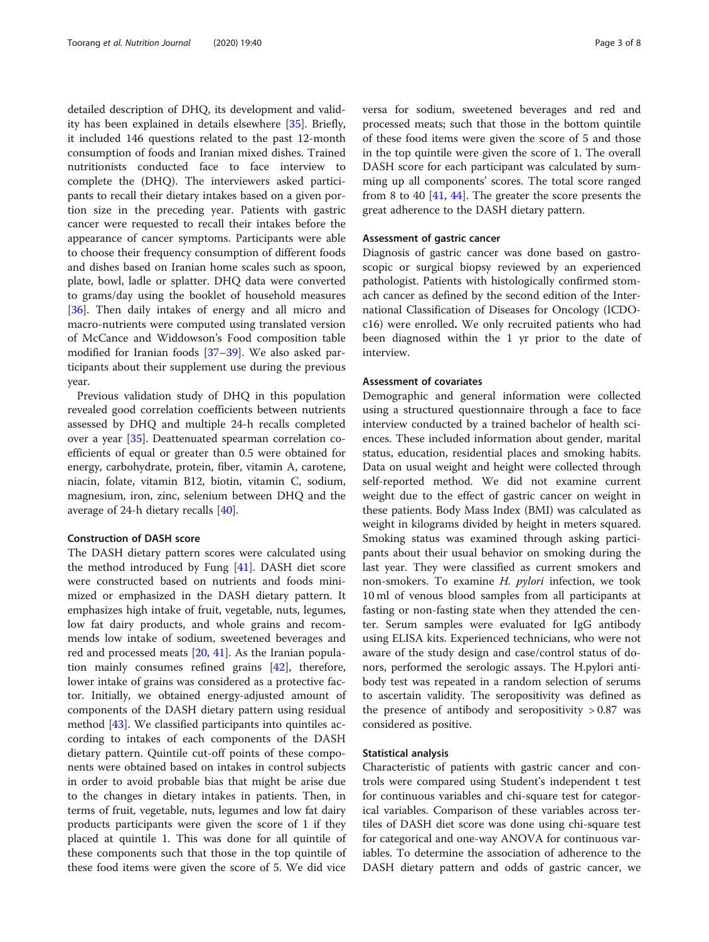detailed description of DHQ, its development and validity has been explained in details elsewhere [\[35\]](#page-7-0). Briefly, it included 146 questions related to the past 12-month consumption of foods and Iranian mixed dishes. Trained nutritionists conducted face to face interview to complete the (DHQ). The interviewers asked participants to recall their dietary intakes based on a given portion size in the preceding year. Patients with gastric cancer were requested to recall their intakes before the appearance of cancer symptoms. Participants were able to choose their frequency consumption of different foods and dishes based on Iranian home scales such as spoon, plate, bowl, ladle or splatter. DHQ data were converted to grams/day using the booklet of household measures [[36\]](#page-7-0). Then daily intakes of energy and all micro and macro-nutrients were computed using translated version of McCance and Widdowson's Food composition table modified for Iranian foods [\[37](#page-7-0)–[39\]](#page-7-0). We also asked participants about their supplement use during the previous year.

Previous validation study of DHQ in this population revealed good correlation coefficients between nutrients assessed by DHQ and multiple 24-h recalls completed over a year [[35](#page-7-0)]. Deattenuated spearman correlation coefficients of equal or greater than 0.5 were obtained for energy, carbohydrate, protein, fiber, vitamin A, carotene, niacin, folate, vitamin B12, biotin, vitamin C, sodium, magnesium, iron, zinc, selenium between DHQ and the average of 24-h dietary recalls [\[40](#page-7-0)].

#### Construction of DASH score

The DASH dietary pattern scores were calculated using the method introduced by Fung [[41](#page-7-0)]. DASH diet score were constructed based on nutrients and foods minimized or emphasized in the DASH dietary pattern. It emphasizes high intake of fruit, vegetable, nuts, legumes, low fat dairy products, and whole grains and recommends low intake of sodium, sweetened beverages and red and processed meats [\[20,](#page-6-0) [41](#page-7-0)]. As the Iranian population mainly consumes refined grains [[42\]](#page-7-0), therefore, lower intake of grains was considered as a protective factor. Initially, we obtained energy-adjusted amount of components of the DASH dietary pattern using residual method [\[43](#page-7-0)]. We classified participants into quintiles according to intakes of each components of the DASH dietary pattern. Quintile cut-off points of these components were obtained based on intakes in control subjects in order to avoid probable bias that might be arise due to the changes in dietary intakes in patients. Then, in terms of fruit, vegetable, nuts, legumes and low fat dairy products participants were given the score of 1 if they placed at quintile 1. This was done for all quintile of these components such that those in the top quintile of these food items were given the score of 5. We did vice versa for sodium, sweetened beverages and red and processed meats; such that those in the bottom quintile of these food items were given the score of 5 and those in the top quintile were given the score of 1. The overall DASH score for each participant was calculated by summing up all components' scores. The total score ranged from 8 to 40 [[41](#page-7-0), [44](#page-7-0)]. The greater the score presents the great adherence to the DASH dietary pattern.

#### Assessment of gastric cancer

Diagnosis of gastric cancer was done based on gastroscopic or surgical biopsy reviewed by an experienced pathologist. Patients with histologically confirmed stomach cancer as defined by the second edition of the International Classification of Diseases for Oncology (ICDOc16) were enrolled. We only recruited patients who had been diagnosed within the 1 yr prior to the date of interview.

#### Assessment of covariates

Demographic and general information were collected using a structured questionnaire through a face to face interview conducted by a trained bachelor of health sciences. These included information about gender, marital status, education, residential places and smoking habits. Data on usual weight and height were collected through self-reported method. We did not examine current weight due to the effect of gastric cancer on weight in these patients. Body Mass Index (BMI) was calculated as weight in kilograms divided by height in meters squared. Smoking status was examined through asking participants about their usual behavior on smoking during the last year. They were classified as current smokers and non-smokers. To examine H. pylori infection, we took 10 ml of venous blood samples from all participants at fasting or non-fasting state when they attended the center. Serum samples were evaluated for IgG antibody using ELISA kits. Experienced technicians, who were not aware of the study design and case/control status of donors, performed the serologic assays. The H.pylori antibody test was repeated in a random selection of serums to ascertain validity. The seropositivity was defined as the presence of antibody and seropositivity  $> 0.87$  was considered as positive.

#### Statistical analysis

Characteristic of patients with gastric cancer and controls were compared using Student's independent t test for continuous variables and chi-square test for categorical variables. Comparison of these variables across tertiles of DASH diet score was done using chi-square test for categorical and one-way ANOVA for continuous variables. To determine the association of adherence to the DASH dietary pattern and odds of gastric cancer, we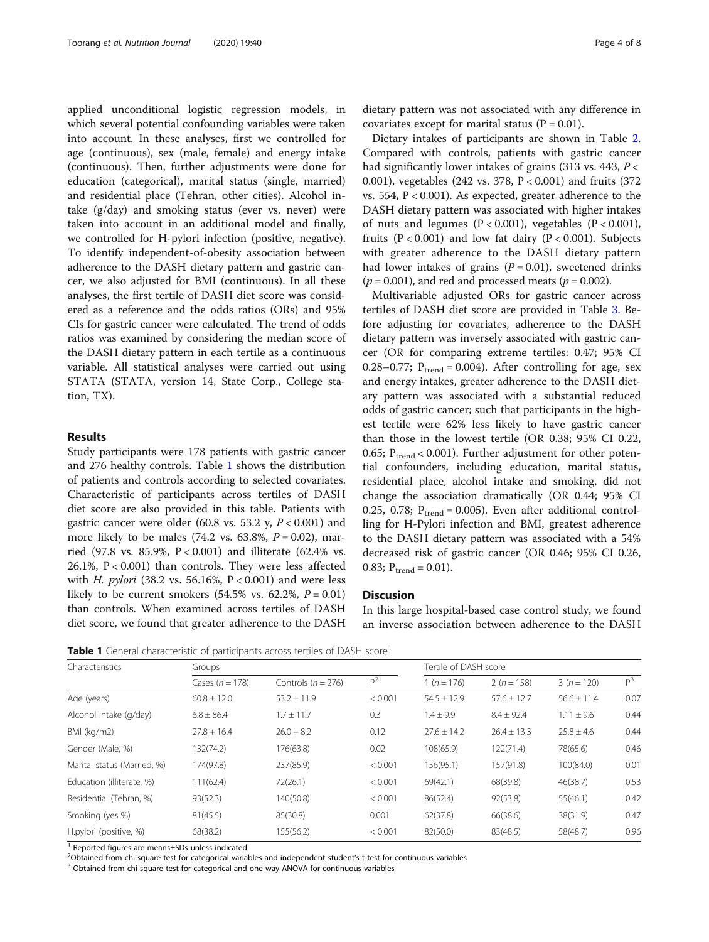applied unconditional logistic regression models, in which several potential confounding variables were taken into account. In these analyses, first we controlled for age (continuous), sex (male, female) and energy intake (continuous). Then, further adjustments were done for education (categorical), marital status (single, married) and residential place (Tehran, other cities). Alcohol intake (g/day) and smoking status (ever vs. never) were taken into account in an additional model and finally, we controlled for H-pylori infection (positive, negative). To identify independent-of-obesity association between adherence to the DASH dietary pattern and gastric cancer, we also adjusted for BMI (continuous). In all these analyses, the first tertile of DASH diet score was considered as a reference and the odds ratios (ORs) and 95% CIs for gastric cancer were calculated. The trend of odds ratios was examined by considering the median score of the DASH dietary pattern in each tertile as a continuous variable. All statistical analyses were carried out using STATA (STATA, version 14, State Corp., College station, TX).

#### Results

Study participants were 178 patients with gastric cancer and 276 healthy controls. Table 1 shows the distribution of patients and controls according to selected covariates. Characteristic of participants across tertiles of DASH diet score are also provided in this table. Patients with gastric cancer were older (60.8 vs. 53.2 y,  $P < 0.001$ ) and more likely to be males (74.2 vs. 63.8%,  $P = 0.02$ ), married (97.8 vs. 85.9%, P < 0.001) and illiterate (62.4% vs. 26.1%, P < 0.001) than controls. They were less affected with H. pylori (38.2 vs. 56.16%,  $P < 0.001$ ) and were less likely to be current smokers  $(54.5\% \text{ vs. } 62.2\%, P = 0.01)$ than controls. When examined across tertiles of DASH diet score, we found that greater adherence to the DASH

dietary pattern was not associated with any difference in covariates except for marital status ( $P = 0.01$ ).

Dietary intakes of participants are shown in Table [2](#page-4-0). Compared with controls, patients with gastric cancer had significantly lower intakes of grains (313 vs. 443, P < 0.001), vegetables (242 vs. 378, P < 0.001) and fruits (372 vs. 554, P < 0.001). As expected, greater adherence to the DASH dietary pattern was associated with higher intakes of nuts and legumes  $(P < 0.001)$ , vegetables  $(P < 0.001)$ , fruits  $(P < 0.001)$  and low fat dairy  $(P < 0.001)$ . Subjects with greater adherence to the DASH dietary pattern had lower intakes of grains  $(P = 0.01)$ , sweetened drinks  $(p = 0.001)$ , and red and processed meats  $(p = 0.002)$ .

Multivariable adjusted ORs for gastric cancer across tertiles of DASH diet score are provided in Table [3](#page-4-0). Before adjusting for covariates, adherence to the DASH dietary pattern was inversely associated with gastric cancer (OR for comparing extreme tertiles: 0.47; 95% CI 0.28–0.77;  $P_{trend} = 0.004$ ). After controlling for age, sex and energy intakes, greater adherence to the DASH dietary pattern was associated with a substantial reduced odds of gastric cancer; such that participants in the highest tertile were 62% less likely to have gastric cancer than those in the lowest tertile (OR 0.38; 95% CI 0.22, 0.65;  $P_{trend}$  < 0.001). Further adjustment for other potential confounders, including education, marital status, residential place, alcohol intake and smoking, did not change the association dramatically (OR 0.44; 95% CI 0.25, 0.78;  $P_{trend} = 0.005$ ). Even after additional controlling for H-Pylori infection and BMI, greatest adherence to the DASH dietary pattern was associated with a 54% decreased risk of gastric cancer (OR 0.46; 95% CI 0.26, 0.83;  $P_{trend} = 0.01$ ).

#### Discusion

In this large hospital-based case control study, we found an inverse association between adherence to the DASH

**Table 1** General characteristic of participants across tertiles of DASH score<sup>1</sup>

| Groups            |                        | Tertile of DASH score |                 |                 |                 |                |
|-------------------|------------------------|-----------------------|-----------------|-----------------|-----------------|----------------|
| Cases $(n = 178)$ | Controls ( $n = 276$ ) | p <sup>2</sup>        | $1(n=176)$      | $2(n=158)$      | $3(n = 120)$    | p <sup>3</sup> |
| $60.8 \pm 12.0$   | $53.2 \pm 11.9$        | < 0.001               | $54.5 \pm 12.9$ | $57.6 \pm 12.7$ | $56.6 \pm 11.4$ | 0.07           |
| $6.8 \pm 86.4$    | $1.7 \pm 11.7$         | 0.3                   | $1.4 \pm 9.9$   | $8.4 \pm 92.4$  | $1.11 \pm 9.6$  | 0.44           |
| $27.8 + 16.4$     | $26.0 + 8.2$           | 0.12                  | $27.6 \pm 14.2$ | $26.4 \pm 13.3$ | $25.8 \pm 4.6$  | 0.44           |
| 32(74.2)          | 176(63.8)              | 0.02                  | 108(65.9)       | 122(71.4)       | 78(65.6)        | 0.46           |
| 174(97.8)         | 237(85.9)              | < 0.001               | 156(95.1)       | 157(91.8)       | 100(84.0)       | 0.01           |
| 111(62.4)         | 72(26.1)               | < 0.001               | 69(42.1)        | 68(39.8)        | 46(38.7)        | 0.53           |
| 93(52.3)          | 140(50.8)              | < 0.001               | 86(52.4)        | 92(53.8)        | 55(46.1)        | 0.42           |
| 81(45.5)          | 85(30.8)               | 0.001                 | 62(37.8)        | 66(38.6)        | 38(31.9)        | 0.47           |
| 68(38.2)          | 155(56.2)              | < 0.001               | 82(50.0)        | 83(48.5)        | 58(48.7)        | 0.96           |
|                   |                        |                       |                 |                 |                 |                |

<sup>1</sup> Reported figures are means±SDs unless indicated

<sup>2</sup>Obtained from chi-square test for categorical variables and independent student's t-test for continuous variables

<sup>3</sup> Obtained from chi-square test for categorical and one-way ANOVA for continuous variables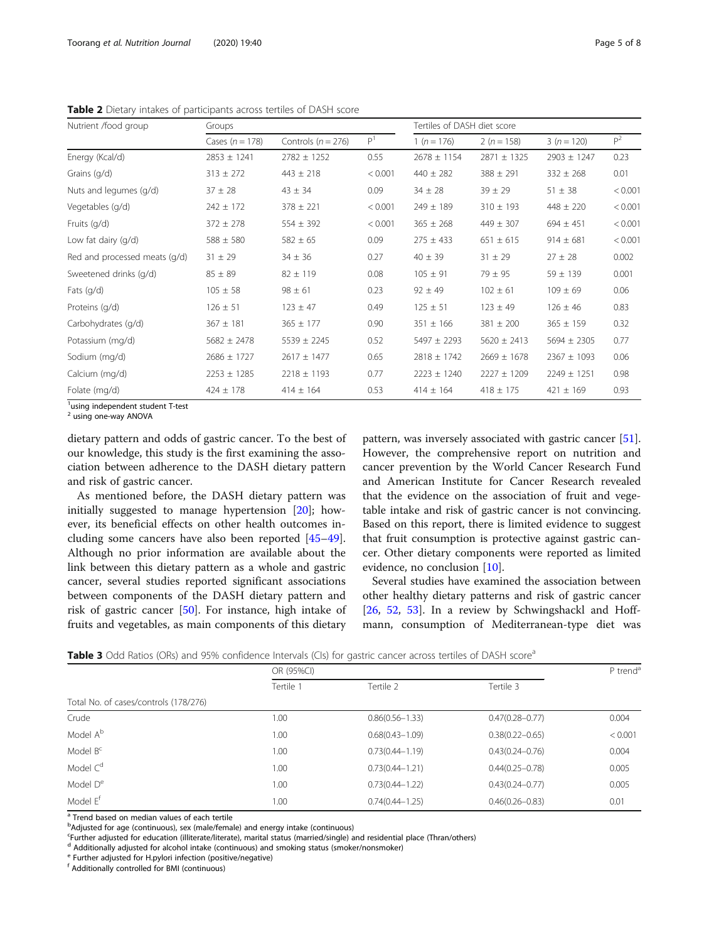| Nutrient /food group              | Groups            |                        | Tertiles of DASH diet score |                 |                 |                 |                |
|-----------------------------------|-------------------|------------------------|-----------------------------|-----------------|-----------------|-----------------|----------------|
|                                   | Cases $(n = 178)$ | Controls ( $n = 276$ ) | P <sup>1</sup>              | $1(n=176)$      | $2(n=158)$      | $3(n = 120)$    | p <sup>2</sup> |
| Energy (Kcal/d)                   | $2853 \pm 1241$   | $2782 \pm 1252$        | 0.55                        | $2678 \pm 1154$ | $2871 \pm 1325$ | $2903 \pm 1247$ | 0.23           |
| Grains (g/d)                      | $313 \pm 272$     | $443 \pm 218$          | < 0.001                     | $440 \pm 282$   | $388 \pm 291$   | $332 \pm 268$   | 0.01           |
| Nuts and legumes (g/d)            | $37 \pm 28$       | $43 \pm 34$            | 0.09<br>$34 \pm 28$         |                 | $39 \pm 29$     | $51 \pm 38$     | < 0.001        |
| Vegetables (g/d)<br>$242 \pm 172$ |                   | $378 \pm 221$          | < 0.001                     | $249 \pm 189$   | $310 \pm 193$   | $448 \pm 220$   | < 0.001        |
| Fruits (g/d)                      | $372 \pm 278$     | $554 \pm 392$          | < 0.001                     | $365 \pm 268$   | $449 \pm 307$   | $694 \pm 451$   | < 0.001        |
| Low fat dairy (g/d)               | $588 \pm 580$     | $582 \pm 65$           | 0.09                        | $275 \pm 433$   | $651 \pm 615$   | $914 \pm 681$   | < 0.001        |
| Red and processed meats (g/d)     | $31 \pm 29$       | $34 \pm 36$            | 0.27                        | $40 \pm 39$     | $31 \pm 29$     | $27 \pm 28$     | 0.002          |
| Sweetened drinks (g/d)            | $85 \pm 89$       | $82 \pm 119$           | 0.08                        | $105 \pm 91$    | $79 \pm 95$     | $59 \pm 139$    | 0.001          |
| Fats $(q/d)$                      | $105 \pm 58$      | $98 \pm 61$            | 0.23                        | $92 \pm 49$     | $102 \pm 61$    | $109 \pm 69$    | 0.06           |
| Proteins (g/d)                    | $126 \pm 51$      | $123 \pm 47$           | 0.49                        | $125 \pm 51$    | $123 \pm 49$    | $126 \pm 46$    | 0.83           |
| Carbohydrates (g/d)               | $367 \pm 181$     | $365 \pm 177$          | 0.90                        | $351 \pm 166$   | $381 \pm 200$   | $365 \pm 159$   | 0.32           |
| Potassium (mg/d)                  | $5682 \pm 2478$   | $5539 \pm 2245$        | 0.52                        | $5497 \pm 2293$ | $5620 \pm 2413$ | $5694 \pm 2305$ | 0.77           |
| Sodium (mg/d)                     | $2686 \pm 1727$   | $2617 \pm 1477$        | 0.65                        | $2818 \pm 1742$ | $2669 \pm 1678$ | $2367 \pm 1093$ | 0.06           |
| Calcium (mg/d)                    | $2253 \pm 1285$   | $2218 \pm 1193$        | 0.77                        | $2223 \pm 1240$ | $2227 \pm 1209$ | $2249 \pm 1251$ | 0.98           |
| Folate (mg/d)                     | $424 \pm 178$     | $414 \pm 164$          | 0.53                        | $414 \pm 164$   | $418 \pm 175$   | $421 \pm 169$   | 0.93           |

<span id="page-4-0"></span>Table 2 Dietary intakes of participants across tertiles of DASH score

<sup>1</sup>using independent student T-test

<sup>2</sup> using one-way ANOVA

dietary pattern and odds of gastric cancer. To the best of our knowledge, this study is the first examining the association between adherence to the DASH dietary pattern and risk of gastric cancer.

As mentioned before, the DASH dietary pattern was initially suggested to manage hypertension [\[20\]](#page-6-0); however, its beneficial effects on other health outcomes including some cancers have also been reported [[45](#page-7-0)–[49](#page-7-0)]. Although no prior information are available about the link between this dietary pattern as a whole and gastric cancer, several studies reported significant associations between components of the DASH dietary pattern and risk of gastric cancer [\[50](#page-7-0)]. For instance, high intake of fruits and vegetables, as main components of this dietary

pattern, was inversely associated with gastric cancer [\[51](#page-7-0)]. However, the comprehensive report on nutrition and cancer prevention by the World Cancer Research Fund and American Institute for Cancer Research revealed that the evidence on the association of fruit and vegetable intake and risk of gastric cancer is not convincing. Based on this report, there is limited evidence to suggest that fruit consumption is protective against gastric cancer. Other dietary components were reported as limited evidence, no conclusion [[10\]](#page-6-0).

Several studies have examined the association between other healthy dietary patterns and risk of gastric cancer [[26,](#page-6-0) [52,](#page-7-0) [53\]](#page-7-0). In a review by Schwingshackl and Hoffmann, consumption of Mediterranean-type diet was

|  |  | Table 3 Odd Ratios (ORs) and 95% confidence Intervals (CIs) for gastric cancer across tertiles of DASH score <sup>a</sup> |  |  |  |  |
|--|--|---------------------------------------------------------------------------------------------------------------------------|--|--|--|--|
|  |  |                                                                                                                           |  |  |  |  |

|                                       | OR (95%CI) |                     |                     |         |  |  |  |  |
|---------------------------------------|------------|---------------------|---------------------|---------|--|--|--|--|
|                                       | Tertile 1  | Tertile 2           | Tertile 3           |         |  |  |  |  |
| Total No. of cases/controls (178/276) |            |                     |                     |         |  |  |  |  |
| Crude                                 | 1.00       | $0.86(0.56 - 1.33)$ | $0.47(0.28 - 0.77)$ | 0.004   |  |  |  |  |
| Model A <sup>b</sup>                  | 1.00       | $0.68(0.43 - 1.09)$ | $0.38(0.22 - 0.65)$ | < 0.001 |  |  |  |  |
| Model B <sup>c</sup>                  | 1.00       | $0.73(0.44 - 1.19)$ | $0.43(0.24 - 0.76)$ | 0.004   |  |  |  |  |
| Model C <sup>d</sup>                  | 1.00       | $0.73(0.44 - 1.21)$ | $0.44(0.25 - 0.78)$ | 0.005   |  |  |  |  |
| Model D <sup>e</sup>                  | 1.00       | $0.73(0.44 - 1.22)$ | $0.43(0.24 - 0.77)$ | 0.005   |  |  |  |  |
| Model E <sup>t</sup>                  | 1.00       | $0.74(0.44 - 1.25)$ | $0.46(0.26 - 0.83)$ | 0.01    |  |  |  |  |
|                                       |            |                     |                     |         |  |  |  |  |

<sup>a</sup> Trend based on median values of each tertile

<sup>b</sup>Adjusted for age (continuous), sex (male/female) and energy intake (continuous)

c Further adjusted for education (illiterate/literate), marital status (married/single) and residential place (Thran/others)

<sup>d</sup> Additionally adjusted for alcohol intake (continuous) and smoking status (smoker/nonsmoker)

<sup>e</sup> Further adjusted for H.pylori infection (positive/negative)

<sup>f</sup> Additionally controlled for BMI (continuous)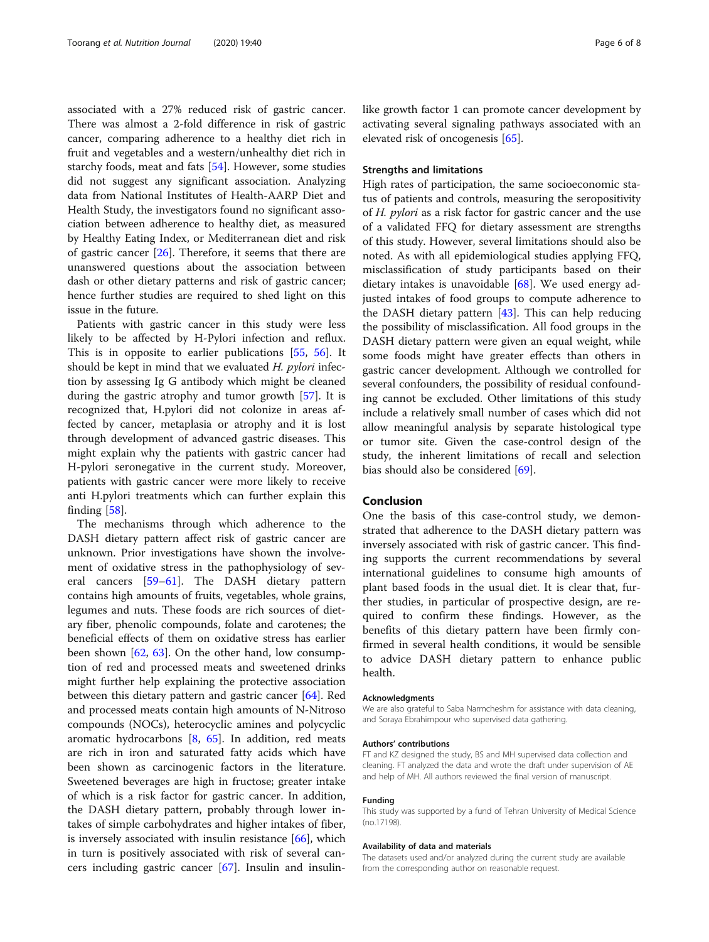associated with a 27% reduced risk of gastric cancer. There was almost a 2-fold difference in risk of gastric cancer, comparing adherence to a healthy diet rich in fruit and vegetables and a western/unhealthy diet rich in starchy foods, meat and fats [[54\]](#page-7-0). However, some studies did not suggest any significant association. Analyzing data from National Institutes of Health-AARP Diet and Health Study, the investigators found no significant association between adherence to healthy diet, as measured by Healthy Eating Index, or Mediterranean diet and risk of gastric cancer [[26\]](#page-6-0). Therefore, it seems that there are unanswered questions about the association between dash or other dietary patterns and risk of gastric cancer; hence further studies are required to shed light on this issue in the future.

Patients with gastric cancer in this study were less likely to be affected by H-Pylori infection and reflux. This is in opposite to earlier publications [[55](#page-7-0), [56\]](#page-7-0). It should be kept in mind that we evaluated  $H.$  pylori infection by assessing Ig G antibody which might be cleaned during the gastric atrophy and tumor growth [[57\]](#page-7-0). It is recognized that, H.pylori did not colonize in areas affected by cancer, metaplasia or atrophy and it is lost through development of advanced gastric diseases. This might explain why the patients with gastric cancer had H-pylori seronegative in the current study. Moreover, patients with gastric cancer were more likely to receive anti H.pylori treatments which can further explain this finding [[58](#page-7-0)].

The mechanisms through which adherence to the DASH dietary pattern affect risk of gastric cancer are unknown. Prior investigations have shown the involvement of oxidative stress in the pathophysiology of several cancers [\[59](#page-7-0)–[61\]](#page-7-0). The DASH dietary pattern contains high amounts of fruits, vegetables, whole grains, legumes and nuts. These foods are rich sources of dietary fiber, phenolic compounds, folate and carotenes; the beneficial effects of them on oxidative stress has earlier been shown [[62,](#page-7-0) [63](#page-7-0)]. On the other hand, low consumption of red and processed meats and sweetened drinks might further help explaining the protective association between this dietary pattern and gastric cancer [[64](#page-7-0)]. Red and processed meats contain high amounts of N-Nitroso compounds (NOCs), heterocyclic amines and polycyclic aromatic hydrocarbons [\[8](#page-6-0), [65](#page-7-0)]. In addition, red meats are rich in iron and saturated fatty acids which have been shown as carcinogenic factors in the literature. Sweetened beverages are high in fructose; greater intake of which is a risk factor for gastric cancer. In addition, the DASH dietary pattern, probably through lower intakes of simple carbohydrates and higher intakes of fiber, is inversely associated with insulin resistance [[66\]](#page-7-0), which in turn is positively associated with risk of several cancers including gastric cancer [[67](#page-7-0)]. Insulin and insulinlike growth factor 1 can promote cancer development by activating several signaling pathways associated with an elevated risk of oncogenesis [[65](#page-7-0)].

#### Strengths and limitations

High rates of participation, the same socioeconomic status of patients and controls, measuring the seropositivity of H. pylori as a risk factor for gastric cancer and the use of a validated FFQ for dietary assessment are strengths of this study. However, several limitations should also be noted. As with all epidemiological studies applying FFQ, misclassification of study participants based on their dietary intakes is unavoidable [[68\]](#page-7-0). We used energy adjusted intakes of food groups to compute adherence to the DASH dietary pattern [\[43](#page-7-0)]. This can help reducing the possibility of misclassification. All food groups in the DASH dietary pattern were given an equal weight, while some foods might have greater effects than others in gastric cancer development. Although we controlled for several confounders, the possibility of residual confounding cannot be excluded. Other limitations of this study include a relatively small number of cases which did not allow meaningful analysis by separate histological type or tumor site. Given the case-control design of the study, the inherent limitations of recall and selection bias should also be considered [\[69](#page-7-0)].

#### Conclusion

One the basis of this case-control study, we demonstrated that adherence to the DASH dietary pattern was inversely associated with risk of gastric cancer. This finding supports the current recommendations by several international guidelines to consume high amounts of plant based foods in the usual diet. It is clear that, further studies, in particular of prospective design, are required to confirm these findings. However, as the benefits of this dietary pattern have been firmly confirmed in several health conditions, it would be sensible to advice DASH dietary pattern to enhance public health.

#### Acknowledgments

We are also grateful to Saba Narmcheshm for assistance with data cleaning, and Soraya Ebrahimpour who supervised data gathering.

#### Authors' contributions

FT and KZ designed the study, BS and MH supervised data collection and cleaning. FT analyzed the data and wrote the draft under supervision of AE and help of MH. All authors reviewed the final version of manuscript.

#### Funding

This study was supported by a fund of Tehran University of Medical Science (no.17198).

#### Availability of data and materials

The datasets used and/or analyzed during the current study are available from the corresponding author on reasonable request.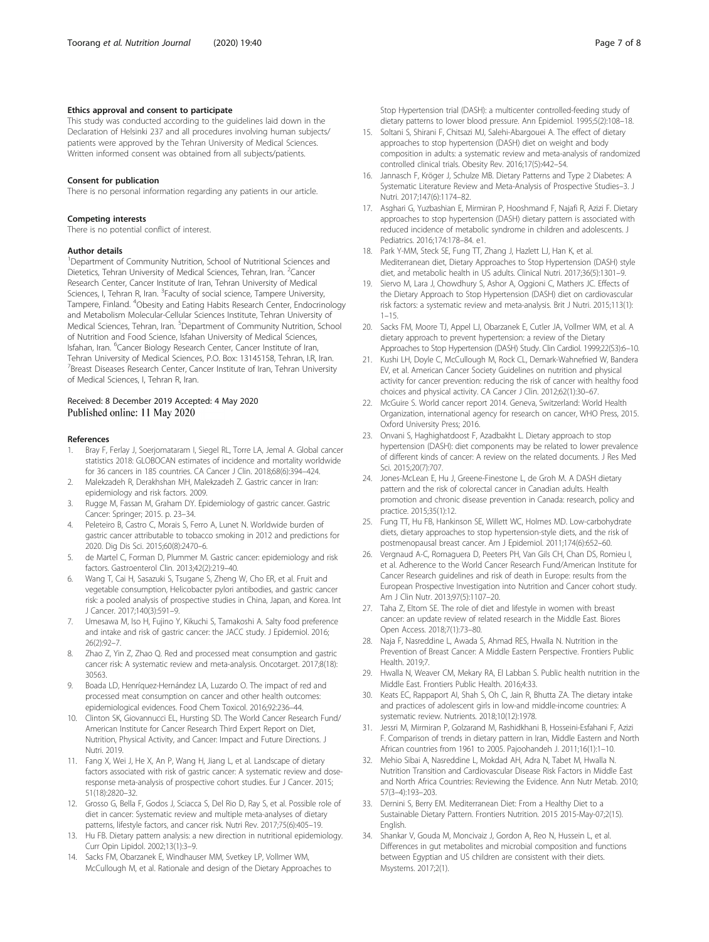#### <span id="page-6-0"></span>Ethics approval and consent to participate

This study was conducted according to the guidelines laid down in the Declaration of Helsinki 237 and all procedures involving human subjects/ patients were approved by the Tehran University of Medical Sciences. Written informed consent was obtained from all subjects/patients.

#### Consent for publication

There is no personal information regarding any patients in our article.

#### Competing interests

There is no potential conflict of interest.

#### Author details

<sup>1</sup>Department of Community Nutrition, School of Nutritional Sciences and Dietetics, Tehran University of Medical Sciences, Tehran, Iran. <sup>2</sup>Cancer Research Center, Cancer Institute of Iran, Tehran University of Medical Sciences, I, Tehran R, Iran. <sup>3</sup> Faculty of social science, Tampere University, Tampere, Finland. <sup>4</sup>Obesity and Eating Habits Research Center, Endocrinology and Metabolism Molecular-Cellular Sciences Institute, Tehran University of Medical Sciences, Tehran, Iran. <sup>5</sup>Department of Community Nutrition, School of Nutrition and Food Science, Isfahan University of Medical Sciences, Isfahan, Iran. <sup>6</sup>Cancer Biology Research Center, Cancer Institute of Iran, Tehran University of Medical Sciences, P.O. Box: 13145158, Tehran, I.R, Iran. <sup>7</sup> Breast Diseases Research Center, Cancer Institute of Iran, Tehran University of Medical Sciences, I, Tehran R, Iran.

#### Received: 8 December 2019 Accepted: 4 May 2020 Published online: 11 May 2020

#### References

- Bray F, Ferlay J, Soerjomataram I, Siegel RL, Torre LA, Jemal A. Global cancer statistics 2018: GLOBOCAN estimates of incidence and mortality worldwide for 36 cancers in 185 countries. CA Cancer J Clin. 2018;68(6):394–424.
- 2. Malekzadeh R, Derakhshan MH, Malekzadeh Z. Gastric cancer in Iran: epidemiology and risk factors. 2009.
- 3. Rugge M, Fassan M, Graham DY. Epidemiology of gastric cancer. Gastric Cancer: Springer; 2015. p. 23–34.
- 4. Peleteiro B, Castro C, Morais S, Ferro A, Lunet N. Worldwide burden of gastric cancer attributable to tobacco smoking in 2012 and predictions for 2020. Dig Dis Sci. 2015;60(8):2470–6.
- 5. de Martel C, Forman D, Plummer M. Gastric cancer: epidemiology and risk factors. Gastroenterol Clin. 2013;42(2):219–40.
- 6. Wang T, Cai H, Sasazuki S, Tsugane S, Zheng W, Cho ER, et al. Fruit and vegetable consumption, Helicobacter pylori antibodies, and gastric cancer risk: a pooled analysis of prospective studies in China, Japan, and Korea. Int J Cancer. 2017;140(3):591–9.
- 7. Umesawa M, Iso H, Fujino Y, Kikuchi S, Tamakoshi A. Salty food preference and intake and risk of gastric cancer: the JACC study. J Epidemiol. 2016; 26(2):92–7.
- 8. Zhao Z, Yin Z, Zhao Q. Red and processed meat consumption and gastric cancer risk: A systematic review and meta-analysis. Oncotarget. 2017;8(18): 30563.
- 9. Boada LD, Henríquez-Hernández LA, Luzardo O. The impact of red and processed meat consumption on cancer and other health outcomes: epidemiological evidences. Food Chem Toxicol. 2016;92:236–44.
- 10. Clinton SK, Giovannucci EL, Hursting SD. The World Cancer Research Fund/ American Institute for Cancer Research Third Expert Report on Diet, Nutrition, Physical Activity, and Cancer: Impact and Future Directions. J Nutri. 2019.
- 11. Fang X, Wei J, He X, An P, Wang H, Jiang L, et al. Landscape of dietary factors associated with risk of gastric cancer: A systematic review and doseresponse meta-analysis of prospective cohort studies. Eur J Cancer. 2015; 51(18):2820–32.
- 12. Grosso G, Bella F, Godos J, Sciacca S, Del Rio D, Ray S, et al. Possible role of diet in cancer: Systematic review and multiple meta-analyses of dietary patterns, lifestyle factors, and cancer risk. Nutri Rev. 2017;75(6):405–19.
- 13. Hu FB. Dietary pattern analysis: a new direction in nutritional epidemiology. Curr Opin Lipidol. 2002;13(1):3–9.
- 14. Sacks FM, Obarzanek E, Windhauser MM, Svetkey LP, Vollmer WM, McCullough M, et al. Rationale and design of the Dietary Approaches to

Stop Hypertension trial (DASH): a multicenter controlled-feeding study of dietary patterns to lower blood pressure. Ann Epidemiol. 1995;5(2):108–18.

- 15. Soltani S, Shirani F, Chitsazi MJ, Salehi-Abargouei A. The effect of dietary approaches to stop hypertension (DASH) diet on weight and body composition in adults: a systematic review and meta-analysis of randomized controlled clinical trials. Obesity Rev. 2016;17(5):442–54.
- 16. Jannasch F, Kröger J, Schulze MB. Dietary Patterns and Type 2 Diabetes: A Systematic Literature Review and Meta-Analysis of Prospective Studies–3. J Nutri. 2017;147(6):1174–82.
- 17. Asghari G, Yuzbashian E, Mirmiran P, Hooshmand F, Najafi R, Azizi F. Dietary approaches to stop hypertension (DASH) dietary pattern is associated with reduced incidence of metabolic syndrome in children and adolescents. J Pediatrics. 2016;174:178–84. e1.
- 18. Park Y-MM, Steck SE, Fung TT, Zhang J, Hazlett LJ, Han K, et al. Mediterranean diet, Dietary Approaches to Stop Hypertension (DASH) style diet, and metabolic health in US adults. Clinical Nutri. 2017;36(5):1301–9.
- 19. Siervo M, Lara J, Chowdhury S, Ashor A, Oggioni C, Mathers JC. Effects of the Dietary Approach to Stop Hypertension (DASH) diet on cardiovascular risk factors: a systematic review and meta-analysis. Brit J Nutri. 2015;113(1):  $1 - 15$
- 20. Sacks FM, Moore TJ, Appel LJ, Obarzanek E, Cutler JA, Vollmer WM, et al. A dietary approach to prevent hypertension: a review of the Dietary Approaches to Stop Hypertension (DASH) Study. Clin Cardiol. 1999;22(S3):6–10.
- 21. Kushi LH, Doyle C, McCullough M, Rock CL, Demark-Wahnefried W, Bandera EV, et al. American Cancer Society Guidelines on nutrition and physical activity for cancer prevention: reducing the risk of cancer with healthy food choices and physical activity. CA Cancer J Clin. 2012;62(1):30–67.
- 22. McGuire S. World cancer report 2014. Geneva, Switzerland: World Health Organization, international agency for research on cancer, WHO Press, 2015. Oxford University Press; 2016.
- 23. Onvani S, Haghighatdoost F, Azadbakht L. Dietary approach to stop hypertension (DASH): diet components may be related to lower prevalence of different kinds of cancer: A review on the related documents. J Res Med Sci. 2015;20(7):707.
- 24. Jones-McLean E, Hu J, Greene-Finestone L, de Groh M. A DASH dietary pattern and the risk of colorectal cancer in Canadian adults. Health promotion and chronic disease prevention in Canada: research, policy and practice. 2015;35(1):12.
- 25. Fung TT, Hu FB, Hankinson SE, Willett WC, Holmes MD. Low-carbohydrate diets, dietary approaches to stop hypertension-style diets, and the risk of postmenopausal breast cancer. Am J Epidemiol. 2011;174(6):652–60.
- 26. Vergnaud A-C, Romaguera D, Peeters PH, Van Gils CH, Chan DS, Romieu I, et al. Adherence to the World Cancer Research Fund/American Institute for Cancer Research guidelines and risk of death in Europe: results from the European Prospective Investigation into Nutrition and Cancer cohort study. Am J Clin Nutr. 2013;97(5):1107–20.
- 27. Taha Z, Eltom SE. The role of diet and lifestyle in women with breast cancer: an update review of related research in the Middle East. Biores Open Access. 2018;7(1):73–80.
- 28. Naja F, Nasreddine L, Awada S, Ahmad RES, Hwalla N. Nutrition in the Prevention of Breast Cancer: A Middle Eastern Perspective. Frontiers Public Health. 2019;7.
- 29. Hwalla N, Weaver CM, Mekary RA, El Labban S. Public health nutrition in the Middle East. Frontiers Public Health. 2016;4:33.
- 30. Keats EC, Rappaport AI, Shah S, Oh C, Jain R, Bhutta ZA. The dietary intake and practices of adolescent girls in low-and middle-income countries: A systematic review. Nutrients. 2018;10(12):1978.
- 31. Jessri M, Mirmiran P, Golzarand M, Rashidkhani B, Hosseini-Esfahani F, Azizi F. Comparison of trends in dietary pattern in Iran, Middle Eastern and North African countries from 1961 to 2005. Pajoohandeh J. 2011;16(1):1–10.
- 32. Mehio Sibai A, Nasreddine L, Mokdad AH, Adra N, Tabet M, Hwalla N. Nutrition Transition and Cardiovascular Disease Risk Factors in Middle East and North Africa Countries: Reviewing the Evidence. Ann Nutr Metab. 2010; 57(3–4):193–203.
- 33. Dernini S, Berry EM. Mediterranean Diet: From a Healthy Diet to a Sustainable Dietary Pattern. Frontiers Nutrition. 2015 2015-May-07;2(15). English.
- 34. Shankar V, Gouda M, Moncivaiz J, Gordon A, Reo N, Hussein L, et al. Differences in gut metabolites and microbial composition and functions between Egyptian and US children are consistent with their diets. Msystems. 2017;2(1).